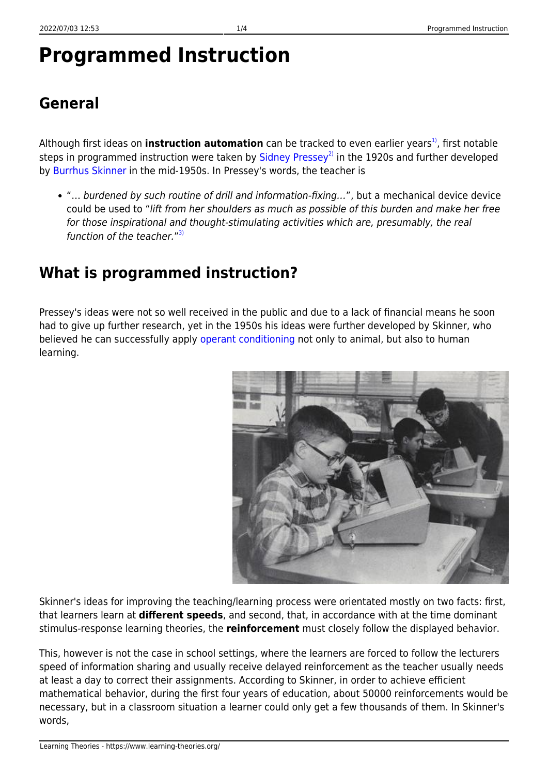# **Programmed Instruction**

# **General**

Although first ideas on **instruction automation** can be tracked to even earlier years<sup>1</sup>, first notable steps in programmed instruction were taken by  $Sidnev$  Pressey<sup>[2\)](#page--1-0)</sup> in the 1920s and further developed by [Burrhus Skinner](http://www.bfskinner.org/BFSkinner/AboutSkinner.html) in the mid-1950s. In Pressey's words, the teacher is

"… burdened by such routine of drill and information-fixing…", but a mechanical device device could be used to "lift from her shoulders as much as possible of this burden and make her free for those inspirational and thought-stimulating activities which are, presumably, the real function of the teacher."<sup>[3\)](#page--1-0)</sup>

### **What is programmed instruction?**

Pressey's ideas were not so well received in the public and due to a lack of financial means he soon had to give up further research, yet in the 1950s his ideas were further developed by Skinner, who believed he can successfully apply [operant conditioning](https://www.learning-theories.org/doku.php?id=learning_theories:operant_conditioning) not only to animal, but also to human learning.



Skinner's ideas for improving the teaching/learning process were orientated mostly on two facts: first, that learners learn at **different speeds**, and second, that, in accordance with at the time dominant stimulus-response learning theories, the **reinforcement** must closely follow the displayed behavior.

This, however is not the case in school settings, where the learners are forced to follow the lecturers speed of information sharing and usually receive delayed reinforcement as the teacher usually needs at least a day to correct their assignments. According to Skinner, in order to achieve efficient mathematical behavior, during the first four years of education, about 50000 reinforcements would be necessary, but in a classroom situation a learner could only get a few thousands of them. In Skinner's words,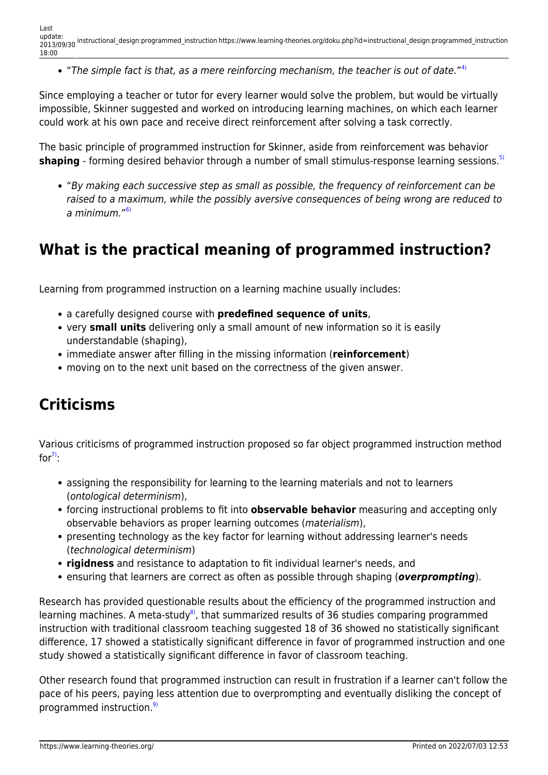"The simple fact is that, as a mere reinforcing mechanism, the teacher is out of date."<sup>[4\)](#page--1-0)</sup>

Since employing a teacher or tutor for every learner would solve the problem, but would be virtually impossible, Skinner suggested and worked on introducing learning machines, on which each learner could work at his own pace and receive direct reinforcement after solving a task correctly.

The basic principle of programmed instruction for Skinner, aside from reinforcement was behavior **shaping** - forming desired behavior through a number of small stimulus-response learning sessions.<sup>[5\)](#page--1-0)</sup>

"By making each successive step as small as possible, the frequency of reinforcement can be raised to a maximum, while the possibly aversive consequences of being wrong are reduced to a minimum."<sup>[6\)](#page--1-0)</sup>

#### **What is the practical meaning of programmed instruction?**

Learning from programmed instruction on a learning machine usually includes:

- a carefully designed course with **predefined sequence of units**,
- very **small units** delivering only a small amount of new information so it is easily understandable (shaping),
- immediate answer after filling in the missing information (**reinforcement**)
- moving on to the next unit based on the correctness of the given answer.

### **Criticisms**

Various criticisms of programmed instruction proposed so far object programmed instruction method for $\frac{7}{2}$ :

- assigning the responsibility for learning to the learning materials and not to learners (ontological determinism),
- forcing instructional problems to fit into **observable behavior** measuring and accepting only observable behaviors as proper learning outcomes (materialism),
- presenting technology as the key factor for learning without addressing learner's needs (technological determinism)
- **rigidness** and resistance to adaptation to fit individual learner's needs, and
- ensuring that learners are correct as often as possible through shaping (*overprompting*).

Research has provided questionable results about the efficiency of the programmed instruction and learning machines. A meta-study<sup>8</sup>, that summarized results of 36 studies comparing programmed instruction with traditional classroom teaching suggested 18 of 36 showed no statistically significant difference, 17 showed a statistically significant difference in favor of programmed instruction and one study showed a statistically significant difference in favor of classroom teaching.

Other research found that programmed instruction can result in frustration if a learner can't follow the pace of his peers, paying less attention due to overprompting and eventually disliking the concept of programmed instruction.<sup>[9\)](#page--1-0)</sup>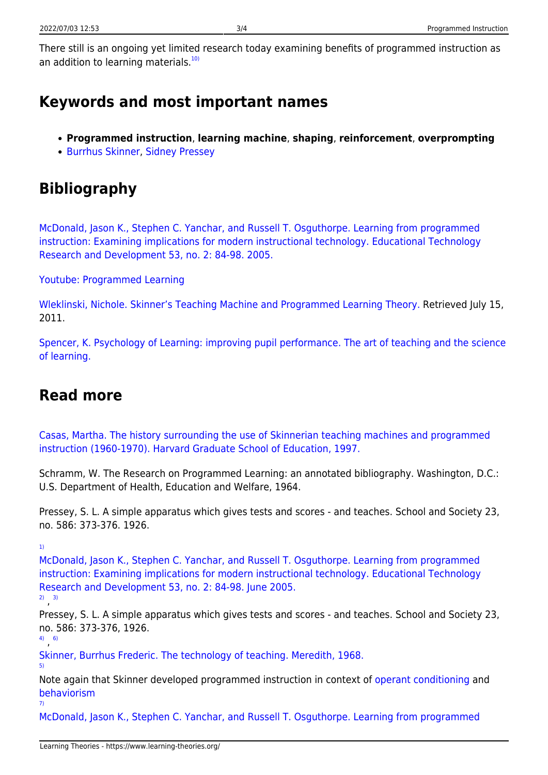There still is an ongoing yet limited research today examining benefits of programmed instruction as an addition to learning materials. $10$ 

#### **Keywords and most important names**

- **Programmed instruction**, **learning machine**, **shaping**, **reinforcement**, **overprompting**
- [Burrhus Skinner](http://www.bfskinner.org/bfskinner/AboutSkinner.html), [Sidney Pressey](http://education.stateuniversity.com/pages/2332/Pressey-Sidney-L-1888-1979.html)

# **Bibliography**

[McDonald, Jason K., Stephen C. Yanchar, and Russell T. Osguthorpe. Learning from programmed](http://www.springerlink.com/content/w8711256732774h7/) [instruction: Examining implications for modern instructional technology. Educational Technology](http://www.springerlink.com/content/w8711256732774h7/) [Research and Development 53, no. 2: 84-98. 2005.](http://www.springerlink.com/content/w8711256732774h7/)

[Youtube: Programmed Learning](http://www.youtube.com/watch?v=EXR9Ft8rzhk&feature=youtube_gdata_player)

[Wleklinski, Nichole. Skinner's Teaching Machine and Programmed Learning Theory.](http://www.isrl.illinois.edu/~chip/projects/timeline/1954teaching_machine.html) Retrieved July 15, 2011.

[Spencer, K. Psychology of Learning: improving pupil performance. The art of teaching and the science](https://hydra.hull.ac.uk/assets/hull:1940/content03) [of learning.](https://hydra.hull.ac.uk/assets/hull:1940/content03)

#### **Read more**

[Casas, Martha. The history surrounding the use of Skinnerian teaching machines and programmed](http://books.google.hr/books?id=bsGlHAAACAAJ) [instruction \(1960-1970\). Harvard Graduate School of Education, 1997.](http://books.google.hr/books?id=bsGlHAAACAAJ)

Schramm, W. The Research on Programmed Learning: an annotated bibliography. Washington, D.C.: U.S. Department of Health, Education and Welfare, 1964.

Pressey, S. L. A simple apparatus which gives tests and scores - and teaches. School and Society 23, no. 586: 373-376. 1926.

[1\)](#page--1-0)

[McDonald, Jason K., Stephen C. Yanchar, and Russell T. Osguthorpe. Learning from programmed](http://www.springerlink.com/content/w8711256732774h7/) [instruction: Examining implications for modern instructional technology. Educational Technology](http://www.springerlink.com/content/w8711256732774h7/) [Research and Development 53, no. 2: 84-98. June 2005.](http://www.springerlink.com/content/w8711256732774h7/)

[2\)](#page--1-0) , [3\)](#page--1-0)

Pressey, S. L. A simple apparatus which gives tests and scores - and teaches. School and Society 23, no. 586: 373-376, 1926.

[4\)](#page--1-0) , [6\)](#page--1-0)

[5\)](#page--1-0)

[Skinner, Burrhus Frederic. The technology of teaching. Meredith, 1968.](http://books.google.com/books?id=5jOdAAAAMAAJ)

Note again that Skinner developed programmed instruction in context of [operant conditioning](https://www.learning-theories.org/doku.php?id=learning_theories:operant_conditioning) and [behaviorism](https://www.learning-theories.org/doku.php?id=learning_paradigms:behaviorism) [7\)](#page--1-0)

[McDonald, Jason K., Stephen C. Yanchar, and Russell T. Osguthorpe. Learning from programmed](http://www.springerlink.com/content/w8711256732774h7/)